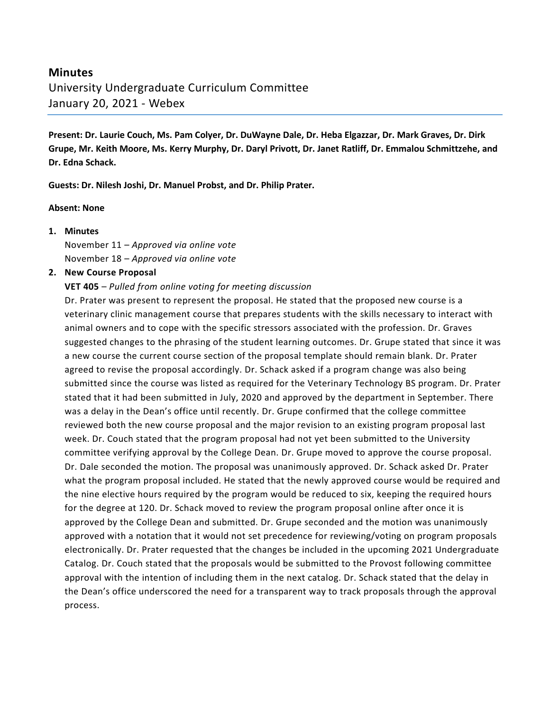# **Minutes**

# University Undergraduate Curriculum Committee January 20, 2021 - Webex

**Present: Dr. Laurie Couch, Ms. Pam Colyer, Dr. DuWayne Dale, Dr. Heba Elgazzar, Dr. Mark Graves, Dr. Dirk Grupe, Mr. Keith Moore, Ms. Kerry Murphy, Dr. Daryl Privott, Dr. Janet Ratliff, Dr. Emmalou Schmittzehe, and Dr. Edna Schack.** 

**Guests: Dr. Nilesh Joshi, Dr. Manuel Probst, and Dr. Philip Prater.**

#### **Absent: None**

#### **1. Minutes**

November 11 – *Approved via online vote* November 18 – *Approved via online vote*

#### **2. New Course Proposal**

#### **VET 405** – *Pulled from online voting for meeting discussion*

Dr. Prater was present to represent the proposal. He stated that the proposed new course is a veterinary clinic management course that prepares students with the skills necessary to interact with animal owners and to cope with the specific stressors associated with the profession. Dr. Graves suggested changes to the phrasing of the student learning outcomes. Dr. Grupe stated that since it was a new course the current course section of the proposal template should remain blank. Dr. Prater agreed to revise the proposal accordingly. Dr. Schack asked if a program change was also being submitted since the course was listed as required for the Veterinary Technology BS program. Dr. Prater stated that it had been submitted in July, 2020 and approved by the department in September. There was a delay in the Dean's office until recently. Dr. Grupe confirmed that the college committee reviewed both the new course proposal and the major revision to an existing program proposal last week. Dr. Couch stated that the program proposal had not yet been submitted to the University committee verifying approval by the College Dean. Dr. Grupe moved to approve the course proposal. Dr. Dale seconded the motion. The proposal was unanimously approved. Dr. Schack asked Dr. Prater what the program proposal included. He stated that the newly approved course would be required and the nine elective hours required by the program would be reduced to six, keeping the required hours for the degree at 120. Dr. Schack moved to review the program proposal online after once it is approved by the College Dean and submitted. Dr. Grupe seconded and the motion was unanimously approved with a notation that it would not set precedence for reviewing/voting on program proposals electronically. Dr. Prater requested that the changes be included in the upcoming 2021 Undergraduate Catalog. Dr. Couch stated that the proposals would be submitted to the Provost following committee approval with the intention of including them in the next catalog. Dr. Schack stated that the delay in the Dean's office underscored the need for a transparent way to track proposals through the approval process.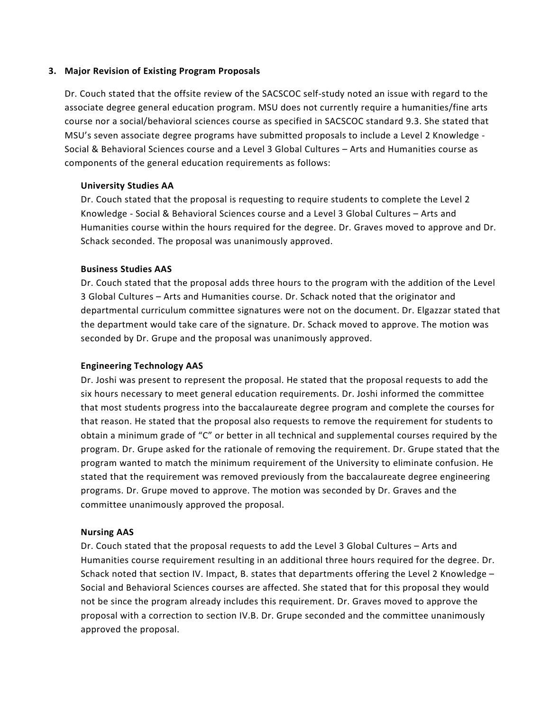#### **3. Major Revision of Existing Program Proposals**

Dr. Couch stated that the offsite review of the SACSCOC self-study noted an issue with regard to the associate degree general education program. MSU does not currently require a humanities/fine arts course nor a social/behavioral sciences course as specified in SACSCOC standard 9.3. She stated that MSU's seven associate degree programs have submitted proposals to include a Level 2 Knowledge - Social & Behavioral Sciences course and a Level 3 Global Cultures – Arts and Humanities course as components of the general education requirements as follows:

#### **University Studies AA**

Dr. Couch stated that the proposal is requesting to require students to complete the Level 2 Knowledge - Social & Behavioral Sciences course and a Level 3 Global Cultures – Arts and Humanities course within the hours required for the degree. Dr. Graves moved to approve and Dr. Schack seconded. The proposal was unanimously approved.

#### **Business Studies AAS**

Dr. Couch stated that the proposal adds three hours to the program with the addition of the Level 3 Global Cultures – Arts and Humanities course. Dr. Schack noted that the originator and departmental curriculum committee signatures were not on the document. Dr. Elgazzar stated that the department would take care of the signature. Dr. Schack moved to approve. The motion was seconded by Dr. Grupe and the proposal was unanimously approved.

## **Engineering Technology AAS**

Dr. Joshi was present to represent the proposal. He stated that the proposal requests to add the six hours necessary to meet general education requirements. Dr. Joshi informed the committee that most students progress into the baccalaureate degree program and complete the courses for that reason. He stated that the proposal also requests to remove the requirement for students to obtain a minimum grade of "C" or better in all technical and supplemental courses required by the program. Dr. Grupe asked for the rationale of removing the requirement. Dr. Grupe stated that the program wanted to match the minimum requirement of the University to eliminate confusion. He stated that the requirement was removed previously from the baccalaureate degree engineering programs. Dr. Grupe moved to approve. The motion was seconded by Dr. Graves and the committee unanimously approved the proposal.

## **Nursing AAS**

Dr. Couch stated that the proposal requests to add the Level 3 Global Cultures – Arts and Humanities course requirement resulting in an additional three hours required for the degree. Dr. Schack noted that section IV. Impact, B. states that departments offering the Level 2 Knowledge – Social and Behavioral Sciences courses are affected. She stated that for this proposal they would not be since the program already includes this requirement. Dr. Graves moved to approve the proposal with a correction to section IV.B. Dr. Grupe seconded and the committee unanimously approved the proposal.